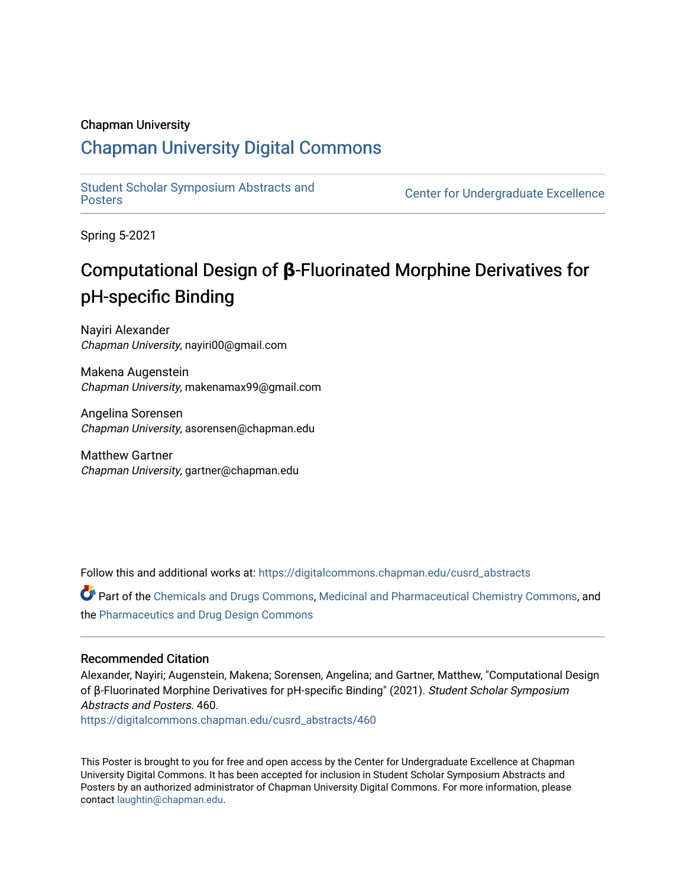### Chapman University

### [Chapman University Digital Commons](https://digitalcommons.chapman.edu/)

[Student Scholar Symposium Abstracts and](https://digitalcommons.chapman.edu/cusrd_abstracts) 

**Center for Undergraduate Excellence** 

Spring 5-2021

### Computational Design of **β**-Fluorinated Morphine Derivatives for pH-specific Binding

Nayiri Alexander Chapman University, nayiri00@gmail.com

Makena Augenstein Chapman University, makenamax99@gmail.com

Angelina Sorensen Chapman University, asorensen@chapman.edu

Matthew Gartner Chapman University, gartner@chapman.edu

Follow this and additional works at: [https://digitalcommons.chapman.edu/cusrd\\_abstracts](https://digitalcommons.chapman.edu/cusrd_abstracts?utm_source=digitalcommons.chapman.edu%2Fcusrd_abstracts%2F460&utm_medium=PDF&utm_campaign=PDFCoverPages) 

Part of the [Chemicals and Drugs Commons](http://network.bepress.com/hgg/discipline/902?utm_source=digitalcommons.chapman.edu%2Fcusrd_abstracts%2F460&utm_medium=PDF&utm_campaign=PDFCoverPages), [Medicinal and Pharmaceutical Chemistry Commons](http://network.bepress.com/hgg/discipline/734?utm_source=digitalcommons.chapman.edu%2Fcusrd_abstracts%2F460&utm_medium=PDF&utm_campaign=PDFCoverPages), and the [Pharmaceutics and Drug Design Commons](http://network.bepress.com/hgg/discipline/733?utm_source=digitalcommons.chapman.edu%2Fcusrd_abstracts%2F460&utm_medium=PDF&utm_campaign=PDFCoverPages) 

### Recommended Citation

Alexander, Nayiri; Augenstein, Makena; Sorensen, Angelina; and Gartner, Matthew, "Computational Design of β-Fluorinated Morphine Derivatives for pH-specific Binding" (2021). Student Scholar Symposium Abstracts and Posters. 460.

[https://digitalcommons.chapman.edu/cusrd\\_abstracts/460](https://digitalcommons.chapman.edu/cusrd_abstracts/460?utm_source=digitalcommons.chapman.edu%2Fcusrd_abstracts%2F460&utm_medium=PDF&utm_campaign=PDFCoverPages) 

This Poster is brought to you for free and open access by the Center for Undergraduate Excellence at Chapman University Digital Commons. It has been accepted for inclusion in Student Scholar Symposium Abstracts and Posters by an authorized administrator of Chapman University Digital Commons. For more information, please contact [laughtin@chapman.edu](mailto:laughtin@chapman.edu).